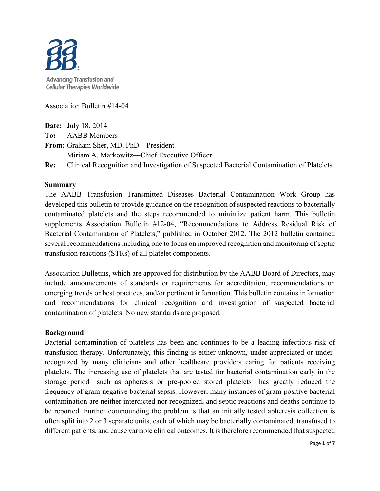

Association Bulletin #14-04

**Date:** July 18, 2014

**To:** AABB Members

**From:** Graham Sher, MD, PhD—President

Miriam A. Markowitz—Chief Executive Officer

**Re:** Clinical Recognition and Investigation of Suspected Bacterial Contamination of Platelets

#### **Summary**

The AABB Transfusion Transmitted Diseases Bacterial Contamination Work Group has developed this bulletin to provide guidance on the recognition of suspected reactions to bacterially contaminated platelets and the steps recommended to minimize patient harm. This bulletin supplements Association Bulletin #12-04, "Recommendations to Address Residual Risk of Bacterial Contamination of Platelets," published in October 2012. The 2012 bulletin contained several recommendations including one to focus on improved recognition and monitoring of septic transfusion reactions (STRs) of all platelet components.

Association Bulletins, which are approved for distribution by the AABB Board of Directors, may include announcements of standards or requirements for accreditation, recommendations on emerging trends or best practices, and/or pertinent information. This bulletin contains information and recommendations for clinical recognition and investigation of suspected bacterial contamination of platelets. No new standards are proposed.

#### **Background**

Bacterial contamination of platelets has been and continues to be a leading infectious risk of transfusion therapy. Unfortunately, this finding is either unknown, under-appreciated or underrecognized by many clinicians and other healthcare providers caring for patients receiving platelets. The increasing use of platelets that are tested for bacterial contamination early in the storage period—such as apheresis or pre-pooled stored platelets—has greatly reduced the frequency of gram-negative bacterial sepsis. However, many instances of gram-positive bacterial contamination are neither interdicted nor recognized, and septic reactions and deaths continue to be reported. Further compounding the problem is that an initially tested apheresis collection is often split into 2 or 3 separate units, each of which may be bacterially contaminated, transfused to different patients, and cause variable clinical outcomes. It is therefore recommended that suspected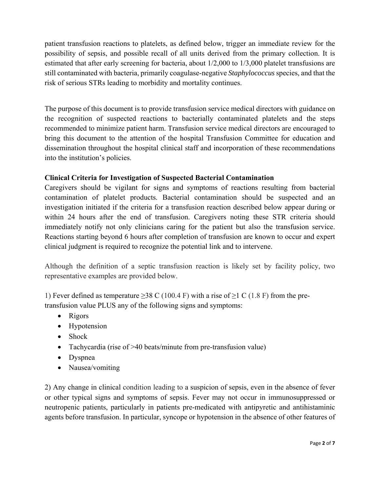patient transfusion reactions to platelets, as defined below, trigger an immediate review for the possibility of sepsis, and possible recall of all units derived from the primary collection. It is estimated that after early screening for bacteria, about 1/2,000 to 1/3,000 platelet transfusions are still contaminated with bacteria, primarily coagulase-negative *Staphylococcus* species, and that the risk of serious STRs leading to morbidity and mortality continues.

The purpose of this document is to provide transfusion service medical directors with guidance on the recognition of suspected reactions to bacterially contaminated platelets and the steps recommended to minimize patient harm. Transfusion service medical directors are encouraged to bring this document to the attention of the hospital Transfusion Committee for education and dissemination throughout the hospital clinical staff and incorporation of these recommendations into the institution's policies.

# **Clinical Criteria for Investigation of Suspected Bacterial Contamination**

Caregivers should be vigilant for signs and symptoms of reactions resulting from bacterial contamination of platelet products. Bacterial contamination should be suspected and an investigation initiated if the criteria for a transfusion reaction described below appear during or within 24 hours after the end of transfusion. Caregivers noting these STR criteria should immediately notify not only clinicians caring for the patient but also the transfusion service. Reactions starting beyond 6 hours after completion of transfusion are known to occur and expert clinical judgment is required to recognize the potential link and to intervene.

Although the definition of a septic transfusion reaction is likely set by facility policy, two representative examples are provided below.

1) Fever defined as temperature  $\geq$ 38 C (100.4 F) with a rise of  $\geq$ 1 C (1.8 F) from the pretransfusion value PLUS any of the following signs and symptoms:

- Rigors
- Hypotension
- Shock
- Tachycardia (rise of >40 beats/minute from pre-transfusion value)
- Dyspnea
- Nausea/vomiting

2) Any change in clinical condition leading to a suspicion of sepsis, even in the absence of fever or other typical signs and symptoms of sepsis. Fever may not occur in immunosuppressed or neutropenic patients, particularly in patients pre-medicated with antipyretic and antihistaminic agents before transfusion. In particular, syncope or hypotension in the absence of other features of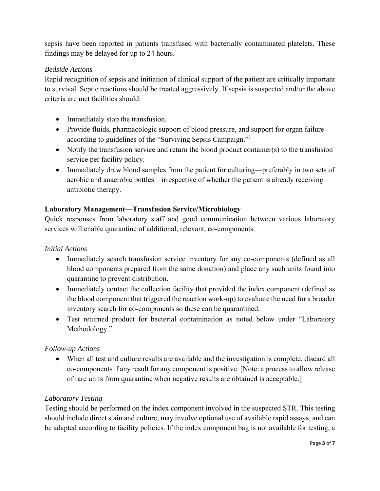sepsis have been reported in patients transfused with bacterially contaminated platelets. These findings may be delayed for up to 24 hours.

# *Bedside Actions*

Rapid recognition of sepsis and initiation of clinical support of the patient are critically important to survival. Septic reactions should be treated aggressively. If sepsis is suspected and/or the above criteria are met facilities should:

- Immediately stop the transfusion.
- Provide fluids, pharmacologic support of blood pressure, and support for organ failure according to guidelines of the "Surviving Sepsis Campaign."1
- Notify the transfusion service and return the blood product container(s) to the transfusion service per facility policy.
- Immediately draw blood samples from the patient for culturing—preferably in two sets of aerobic and anaerobic bottles—irrespective of whether the patient is already receiving antibiotic therapy.

## **Laboratory Management—Transfusion Service/Microbiology**

Quick responses from laboratory staff and good communication between various laboratory services will enable quarantine of additional, relevant, co-components.

#### *Initial Actions*

- Immediately search transfusion service inventory for any co-components (defined as all blood components prepared from the same donation) and place any such units found into quarantine to prevent distribution.
- Immediately contact the collection facility that provided the index component (defined as the blood component that triggered the reaction work-up) to evaluate the need for a broader inventory search for co-components so these can be quarantined.
- Test returned product for bacterial contamination as noted below under "Laboratory" Methodology."

## *Follow-up Actions*

 When all test and culture results are available and the investigation is complete, discard all co-components if any result for any component is positive. [Note: a process to allow release of rare units from quarantine when negative results are obtained is acceptable.]

## *Laboratory Testing*

Testing should be performed on the index component involved in the suspected STR. This testing should include direct stain and culture, may involve optional use of available rapid assays, and can be adapted according to facility policies. If the index component bag is not available for testing, a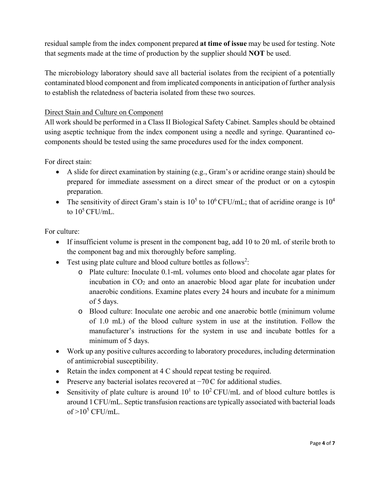residual sample from the index component prepared **at time of issue** may be used for testing. Note that segments made at the time of production by the supplier should **NOT** be used.

The microbiology laboratory should save all bacterial isolates from the recipient of a potentially contaminated blood component and from implicated components in anticipation of further analysis to establish the relatedness of bacteria isolated from these two sources.

## Direct Stain and Culture on Component

All work should be performed in a Class II Biological Safety Cabinet. Samples should be obtained using aseptic technique from the index component using a needle and syringe. Quarantined cocomponents should be tested using the same procedures used for the index component.

For direct stain:

- A slide for direct examination by staining (e.g., Gram's or acridine orange stain) should be prepared for immediate assessment on a direct smear of the product or on a cytospin preparation.
- The sensitivity of direct Gram's stain is  $10^5$  to  $10^6$  CFU/mL; that of acridine orange is  $10^4$ to  $10^5$  CFU/mL.

For culture:

- If insufficient volume is present in the component bag, add 10 to 20 mL of sterile broth to the component bag and mix thoroughly before sampling.
- $\bullet$  Test using plate culture and blood culture bottles as follows<sup>2</sup>:
	- o Plate culture: Inoculate 0.1-mL volumes onto blood and chocolate agar plates for incubation in  $CO<sub>2</sub>$  and onto an anaerobic blood agar plate for incubation under anaerobic conditions. Examine plates every 24 hours and incubate for a minimum of 5 days.
	- o Blood culture: Inoculate one aerobic and one anaerobic bottle (minimum volume of 1.0 mL) of the blood culture system in use at the institution. Follow the manufacturer's instructions for the system in use and incubate bottles for a minimum of 5 days.
- Work up any positive cultures according to laboratory procedures, including determination of antimicrobial susceptibility.
- Retain the index component at 4 C should repeat testing be required.
- Preserve any bacterial isolates recovered at −70C for additional studies.
- Sensitivity of plate culture is around  $10<sup>1</sup>$  to  $10<sup>2</sup>$  CFU/mL and of blood culture bottles is around 1CFU/mL. Septic transfusion reactions are typically associated with bacterial loads of  $>10^5$  CFU/mL.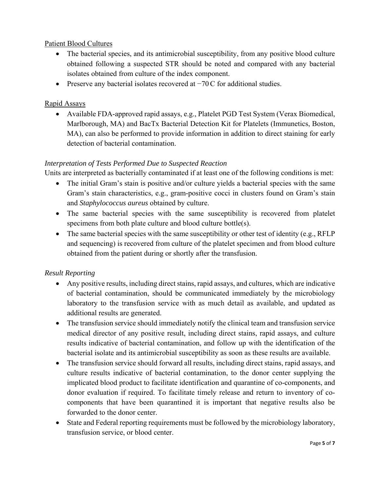## Patient Blood Cultures

- The bacterial species, and its antimicrobial susceptibility, from any positive blood culture obtained following a suspected STR should be noted and compared with any bacterial isolates obtained from culture of the index component.
- Preserve any bacterial isolates recovered at −70C for additional studies.

## Rapid Assays

 Available FDA-approved rapid assays, e.g., Platelet PGD Test System (Verax Biomedical, Marlborough, MA) and BacTx Bacterial Detection Kit for Platelets (Immunetics, Boston, MA), can also be performed to provide information in addition to direct staining for early detection of bacterial contamination.

# *Interpretation of Tests Performed Due to Suspected Reaction*

Units are interpreted as bacterially contaminated if at least one of the following conditions is met:

- The initial Gram's stain is positive and/or culture yields a bacterial species with the same Gram's stain characteristics, e.g., gram-positive cocci in clusters found on Gram's stain and *Staphylococcus aureus* obtained by culture.
- The same bacterial species with the same susceptibility is recovered from platelet specimens from both plate culture and blood culture bottle(s).
- $\bullet$  The same bacterial species with the same susceptibility or other test of identity (e.g., RFLP) and sequencing) is recovered from culture of the platelet specimen and from blood culture obtained from the patient during or shortly after the transfusion.

# *Result Reporting*

- Any positive results, including direct stains, rapid assays, and cultures, which are indicative of bacterial contamination, should be communicated immediately by the microbiology laboratory to the transfusion service with as much detail as available, and updated as additional results are generated.
- The transfusion service should immediately notify the clinical team and transfusion service medical director of any positive result, including direct stains, rapid assays, and culture results indicative of bacterial contamination, and follow up with the identification of the bacterial isolate and its antimicrobial susceptibility as soon as these results are available.
- The transfusion service should forward all results, including direct stains, rapid assays, and culture results indicative of bacterial contamination, to the donor center supplying the implicated blood product to facilitate identification and quarantine of co-components, and donor evaluation if required. To facilitate timely release and return to inventory of cocomponents that have been quarantined it is important that negative results also be forwarded to the donor center.
- State and Federal reporting requirements must be followed by the microbiology laboratory, transfusion service, or blood center.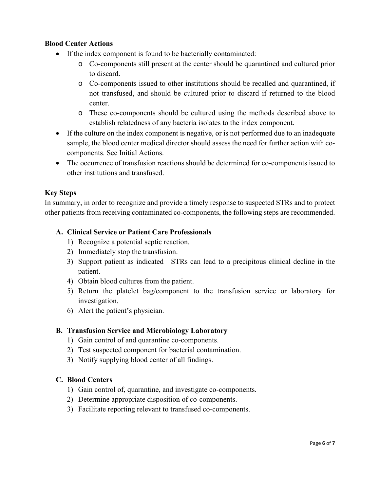## **Blood Center Actions**

- If the index component is found to be bacterially contaminated:
	- o Co-components still present at the center should be quarantined and cultured prior to discard.
	- o Co-components issued to other institutions should be recalled and quarantined, if not transfused, and should be cultured prior to discard if returned to the blood center.
	- o These co-components should be cultured using the methods described above to establish relatedness of any bacteria isolates to the index component.
- If the culture on the index component is negative, or is not performed due to an inadequate sample, the blood center medical director should assess the need for further action with cocomponents. See Initial Actions.
- The occurrence of transfusion reactions should be determined for co-components issued to other institutions and transfused.

## **Key Steps**

In summary, in order to recognize and provide a timely response to suspected STRs and to protect other patients from receiving contaminated co-components, the following steps are recommended.

## **A. Clinical Service or Patient Care Professionals**

- 1) Recognize a potential septic reaction.
- 2) Immediately stop the transfusion.
- 3) Support patient as indicated—STRs can lead to a precipitous clinical decline in the patient.
- 4) Obtain blood cultures from the patient.
- 5) Return the platelet bag/component to the transfusion service or laboratory for investigation.
- 6) Alert the patient's physician.

## **B. Transfusion Service and Microbiology Laboratory**

- 1) Gain control of and quarantine co-components.
- 2) Test suspected component for bacterial contamination.
- 3) Notify supplying blood center of all findings.

## **C. Blood Centers**

- 1) Gain control of, quarantine, and investigate co-components.
- 2) Determine appropriate disposition of co-components.
- 3) Facilitate reporting relevant to transfused co-components.